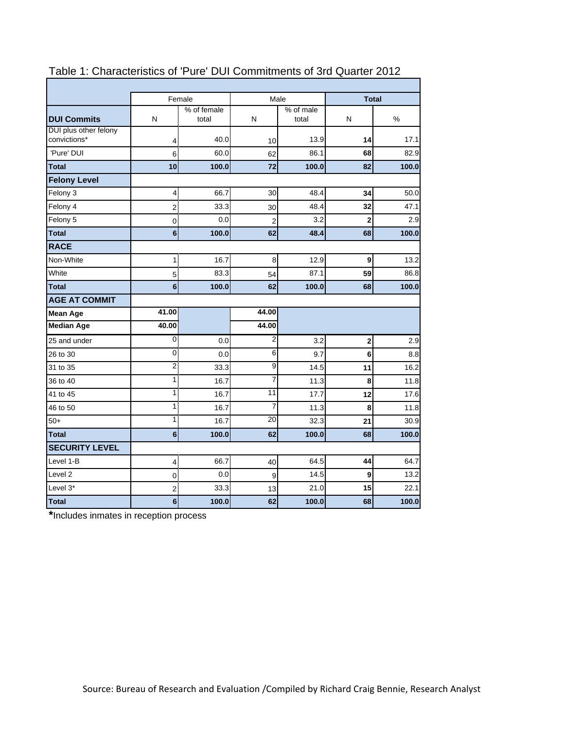|                                       |                 | Female               |                | Male               | <b>Total</b>            |       |
|---------------------------------------|-----------------|----------------------|----------------|--------------------|-------------------------|-------|
| <b>DUI Commits</b>                    | N               | % of female<br>total | N              | % of male<br>total | N                       | %     |
| DUI plus other felony<br>convictions* | 4               | 40.0                 | 10             | 13.9               | 14                      | 17.1  |
| 'Pure' DUI                            | 6               | 60.0                 | 62             | 86.1               | 68                      | 82.9  |
| <b>Total</b>                          | 10              | 100.0                | 72             | 100.0              | 82                      | 100.0 |
| <b>Felony Level</b>                   |                 |                      |                |                    |                         |       |
| Felony 3                              | 4               | 66.7                 | 30             | 48.4               | 34                      | 50.0  |
| Felony 4                              | 2               | 33.3                 | 30             | 48.4               | 32                      | 47.1  |
| Felony 5                              | 0               | 0.0                  | $\overline{2}$ | 3.2                | $\overline{\mathbf{c}}$ | 2.9   |
| <b>Total</b>                          | $6\phantom{a}$  | 100.0                | 62             | 48.4               | 68                      | 100.0 |
| <b>RACE</b>                           |                 |                      |                |                    |                         |       |
| Non-White                             | 1               | 16.7                 | 8              | 12.9               | 9                       | 13.2  |
| White                                 | 5               | 83.3                 | 54             | 87.1               | 59                      | 86.8  |
| <b>Total</b>                          | 6               | 100.0                | 62             | 100.0              | 68                      | 100.0 |
| <b>AGE AT COMMIT</b>                  |                 |                      |                |                    |                         |       |
| <b>Mean Age</b>                       | 41.00           |                      | 44.00          |                    |                         |       |
| <b>Median Age</b>                     | 40.00           |                      | 44.00          |                    |                         |       |
| 25 and under                          | 0               | 0.0                  | 2              | 3.2                | 2                       | 2.9   |
| 26 to 30                              | 0               | 0.0                  | 6              | 9.7                | 6                       | 8.8   |
| 31 to 35                              | $\overline{2}$  | 33.3                 | 9              | 14.5               | 11                      | 16.2  |
| 36 to 40                              | 1               | 16.7                 | 7              | 11.3               | 8                       | 11.8  |
| 41 to 45                              | 1               | 16.7                 | 11             | 17.7               | 12                      | 17.6  |
| 46 to 50                              | 1               | 16.7                 | 7              | 11.3               | 8                       | 11.8  |
| $50+$                                 | 1               | 16.7                 | 20             | 32.3               | 21                      | 30.9  |
| <b>Total</b>                          | 6               | 100.0                | 62             | 100.0              | 68                      | 100.0 |
| <b>SECURITY LEVEL</b>                 |                 |                      |                |                    |                         |       |
| Level 1-B                             | 4               | 66.7                 | 40             | 64.5               | 44                      | 64.7  |
| Level 2                               | 0               | 0.0                  | 9              | 14.5               | 9                       | 13.2  |
| Level 3*                              | $\overline{2}$  | 33.3                 | 13             | 21.0               | 15                      | 22.1  |
| <b>Total</b>                          | $6\phantom{1}6$ | 100.0                | 62             | 100.0              | 68                      | 100.0 |

### Table 1: Characteristics of 'Pure' DUI Commitments of 3rd Quarter 2012

**\***Includes inmates in reception process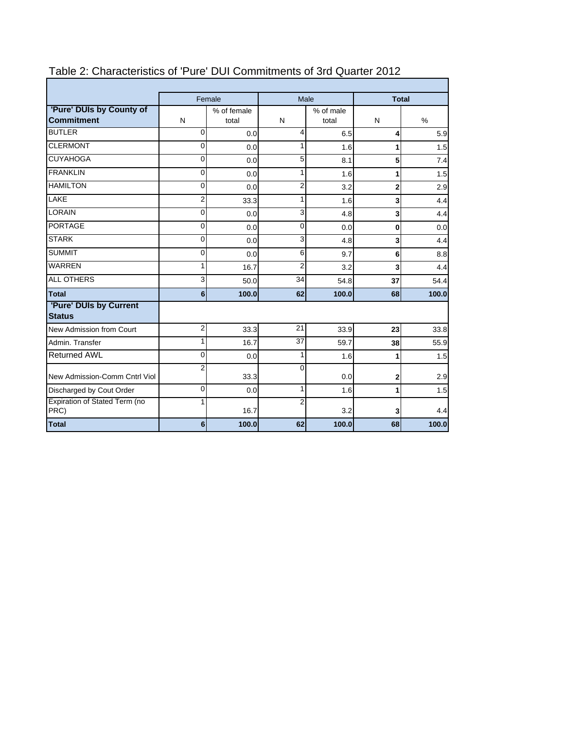|                               |                 | Female |                | Male      | <b>Total</b>            |       |  |
|-------------------------------|-----------------|--------|----------------|-----------|-------------------------|-------|--|
| 'Pure' DUIs by County of      | % of female     |        |                | % of male |                         |       |  |
| <b>Commitment</b>             | $\mathsf{N}$    | total  | N              | total     | N                       | %     |  |
| <b>BUTLER</b>                 | $\Omega$        | 0.0    | 4              | 6.5       | 4                       | 5.9   |  |
| <b>CLERMONT</b>               | 0               | 0.0    | $\mathbf{1}$   | 1.6       | 1                       | 1.5   |  |
| <b>CUYAHOGA</b>               | 0               | 0.0    | 5              | 8.1       | 5                       | 7.4   |  |
| <b>FRANKLIN</b>               | $\mathbf{0}$    | 0.0    | 1              | 1.6       | 1                       | 1.5   |  |
| <b>HAMILTON</b>               | 0               | 0.0    | $\overline{2}$ | 3.2       | $\overline{2}$          | 2.9   |  |
| <b>LAKE</b>                   | 2               | 33.3   | 1              | 1.6       | 3                       | 4.4   |  |
| LORAIN                        | $\overline{0}$  | 0.0    | 3              | 4.8       | 3                       | 4.4   |  |
| <b>PORTAGE</b>                | 0               | 0.0    | 0              | 0.0       | 0                       | 0.0   |  |
| <b>STARK</b>                  | $\overline{0}$  | 0.0    | 3              | 4.8       | $\overline{\mathbf{3}}$ | 4.4   |  |
| <b>SUMMIT</b>                 | $\mathbf{0}$    | 0.0    | 6              | 9.7       | 6                       | 8.8   |  |
| <b>WARREN</b>                 | 1               | 16.7   | 2              | 3.2       | 3                       | 4.4   |  |
| <b>ALL OTHERS</b>             | 3               | 50.0   | 34             | 54.8      | 37                      | 54.4  |  |
| Total                         | 6 <sup>1</sup>  | 100.0  | 62             | 100.0     | 68                      | 100.0 |  |
| 'Pure' DUIs by Current        |                 |        |                |           |                         |       |  |
| <b>Status</b>                 |                 |        |                |           |                         |       |  |
| New Admission from Court      | $\overline{2}$  | 33.3   | 21             | 33.9      | 23                      | 33.8  |  |
| Admin, Transfer               | 1               | 16.7   | 37             | 59.7      | 38                      | 55.9  |  |
| Returned AWL                  | 0               | 0.0    | 1              | 1.6       | 1                       | 1.5   |  |
| New Admission-Comm Cntrl Viol | $\overline{2}$  | 33.3   | $\Omega$       | 0.0       | $\mathbf 2$             | 2.9   |  |
| Discharged by Cout Order      | $\mathbf{0}$    | 0.0    | 1              | 1.6       | 1                       | 1.5   |  |
| Expiration of Stated Term (no | 1               |        | $\overline{2}$ |           |                         |       |  |
| PRC)                          |                 | 16.7   |                | 3.2       | 3                       | 4.4   |  |
| Total                         | $6\overline{6}$ | 100.0  | 62             | 100.0     | 68                      | 100.0 |  |

# Table 2: Characteristics of 'Pure' DUI Commitments of 3rd Quarter 2012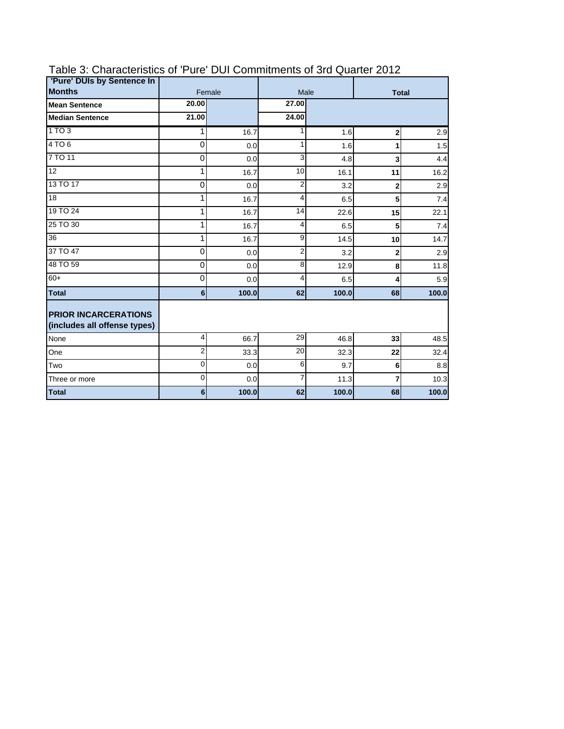| 'Pure' DUIs by Sentence In                                  |                |        |                |       |                |       |  |
|-------------------------------------------------------------|----------------|--------|----------------|-------|----------------|-------|--|
| <b>Months</b>                                               |                | Female |                | Male  | <b>Total</b>   |       |  |
| <b>Mean Sentence</b>                                        | 20.00          |        | 27.00          |       |                |       |  |
| <b>Median Sentence</b>                                      | 21.00          |        | 24.00          |       |                |       |  |
| 1 TO 3                                                      | 1              | 16.7   | 1              | 1.6   | $\mathbf{2}$   | 2.9   |  |
| 4 TO 6                                                      | 0              | 0.0    | 1              | 1.6   |                | 1.5   |  |
| 7 TO 11                                                     | 0              | 0.0    | 3              | 4.8   | 3              | 4.4   |  |
| 12                                                          | 1              | 16.7   | 10             | 16.1  | 11             | 16.2  |  |
| 13 TO 17                                                    | $\mathbf 0$    | 0.0    | $\overline{2}$ | 3.2   | $\overline{2}$ | 2.9   |  |
| 18                                                          | 1              | 16.7   | 4              | 6.5   | 5              | 7.4   |  |
| 19 TO 24                                                    | 1              | 16.7   | 14             | 22.6  | 15             | 22.1  |  |
| 25 TO 30                                                    | 1              | 16.7   | 4              | 6.5   | 5              | 7.4   |  |
| 36                                                          | 1              | 16.7   | 9              | 14.5  | 10             | 14.7  |  |
| 37 TO 47                                                    | 0              | 0.0    | 2              | 3.2   | $\mathbf{2}$   | 2.9   |  |
| 48 TO 59                                                    | 0              | 0.0    | 8              | 12.9  | 8              | 11.8  |  |
| $60+$                                                       | 0              | 0.0    | 4              | 6.5   | 4              | 5.9   |  |
| <b>Total</b>                                                | 6 <sup>1</sup> | 100.0  | 62             | 100.0 | 68             | 100.0 |  |
| <b>PRIOR INCARCERATIONS</b><br>(includes all offense types) |                |        |                |       |                |       |  |
| None                                                        | 4              | 66.7   | 29             | 46.8  | 33             | 48.5  |  |
| One                                                         | $\overline{2}$ | 33.3   | 20             | 32.3  | 22             | 32.4  |  |
| Two                                                         | $\mathbf{0}$   | 0.0    | 6              | 9.7   | 6              | 8.8   |  |
| Three or more                                               | 0              | 0.0    | $\overline{7}$ | 11.3  | $\overline{7}$ | 10.3  |  |
| <b>Total</b>                                                | 6              | 100.0  | 62             | 100.0 | 68             | 100.0 |  |

# Table 3: Characteristics of 'Pure' DUI Commitments of 3rd Quarter 2012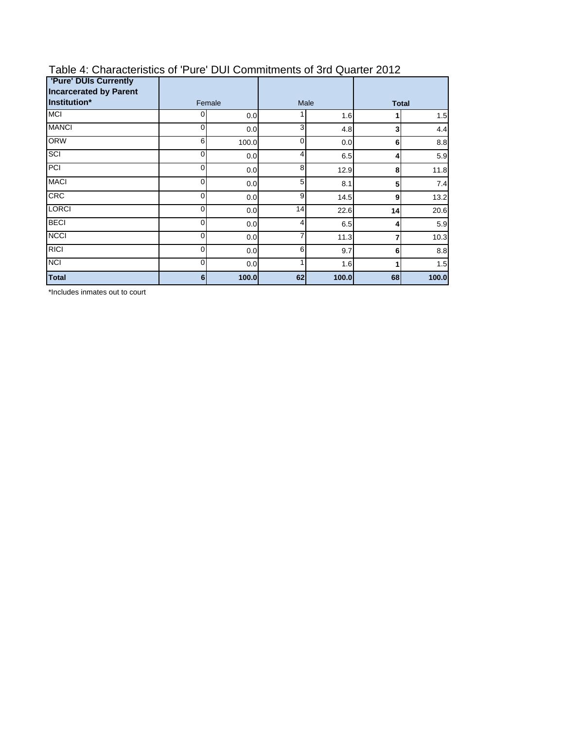| <b>'Pure' DUIs Currently</b><br><b>Incarcerated by Parent</b> |   |        |                |       |              |       |  |
|---------------------------------------------------------------|---|--------|----------------|-------|--------------|-------|--|
| Institution*                                                  |   | Female |                | Male  | <b>Total</b> |       |  |
| <b>MCI</b>                                                    | 0 | 0.0    |                | 1.6   |              | 1.5   |  |
| <b>MANCI</b>                                                  | 0 | 0.0    | 3              | 4.8   | 3            | 4.4   |  |
| <b>ORW</b>                                                    | 6 | 100.0  | 0              | 0.0   | 6            | 8.8   |  |
| SCI                                                           | 0 | 0.0    | $\overline{4}$ | 6.5   | 4            | 5.9   |  |
| PCI                                                           | 0 | 0.0    | 8              | 12.9  | 8            | 11.8  |  |
| <b>MACI</b>                                                   | 0 | 0.0    | 5              | 8.1   | 5            | 7.4   |  |
| <b>CRC</b>                                                    | 0 | 0.0    | 9              | 14.5  | 9            | 13.2  |  |
| <b>LORCI</b>                                                  | 0 | 0.0    | 14             | 22.6  | 14           | 20.6  |  |
| <b>BECI</b>                                                   | 0 | 0.0    | 4              | 6.5   | 4            | 5.9   |  |
| <b>NCCI</b>                                                   | 0 | 0.0    | 7              | 11.3  | 7            | 10.3  |  |
| <b>RICI</b>                                                   | 0 | 0.0    | 6              | 9.7   | 6            | 8.8   |  |
| <b>NCI</b>                                                    | 0 | 0.0    |                | 1.6   |              | 1.5   |  |
| <b>Total</b>                                                  | 6 | 100.0  | 62             | 100.0 | 68           | 100.0 |  |

# Table 4: Characteristics of 'Pure' DUI Commitments of 3rd Quarter 2012

\*Includes inmates out to court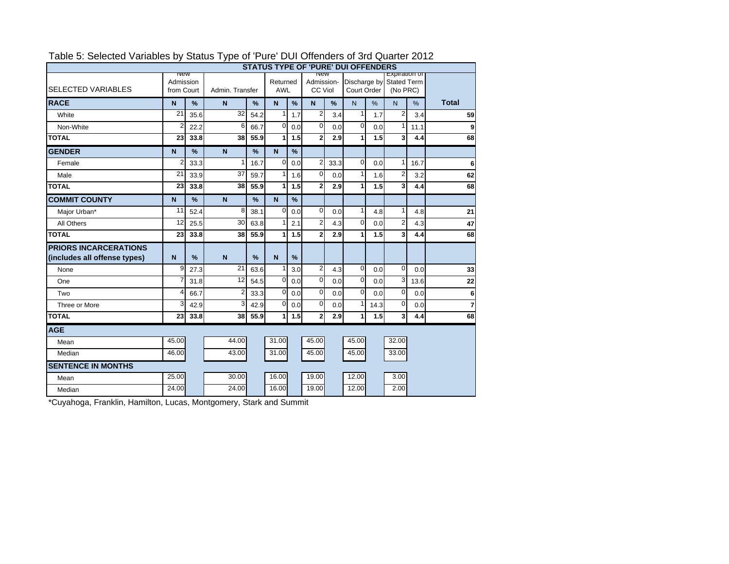|                                                              | <b>STATUS TYPE OF 'PURE' DUI OFFENDERS</b> |               |                 |               |                        |               |                       |      |                                         |               |                           |               |                |
|--------------------------------------------------------------|--------------------------------------------|---------------|-----------------|---------------|------------------------|---------------|-----------------------|------|-----------------------------------------|---------------|---------------------------|---------------|----------------|
| <b>SELECTED VARIABLES</b>                                    | <b>New</b><br>Admission<br>from Court      |               | Admin, Transfer |               | Returned<br><b>AWL</b> |               | Admission-<br>CC Viol |      | Discharge by Stated Term<br>Court Order |               | Expiration of<br>(No PRC) |               |                |
| <b>RACE</b>                                                  | $\mathbf N$                                | %             | N               | %             | N.                     | $\frac{9}{6}$ | $\overline{N}$        | %    | N.                                      | $\frac{0}{0}$ | N.                        | $\frac{9}{6}$ | <b>Total</b>   |
| White                                                        | $\overline{21}$                            | 35.6          | 32              | 54.2          | $\mathbf{1}$           | 1.7           | $\overline{c}$        | 3.4  | $\mathbf{1}$                            | 1.7           | $\overline{2}$            | 3.4           | 59             |
| Non-White                                                    | 2                                          | 22.2          | 6               | 66.7          | $\mathbf 0$            | 0.0           | $\mathbf{O}$          | 0.0  | 0                                       | 0.0           | 1                         | 11.1          | 9              |
| <b>TOTAL</b>                                                 | 23                                         | 33.8          | 38              | 55.9          | 1                      | 1.5           | 2                     | 2.9  | 1                                       | 1.5           | 3                         | 4.4           | 68             |
| <b>GENDER</b>                                                | $\mathbf N$                                | %             | N               | %             | $\mathsf{N}$           | $\frac{9}{6}$ |                       |      |                                         |               |                           |               |                |
| Female                                                       | 2                                          | 33.3          | 1               | 16.7          | $\mathbf 0$            | 0.0           | 2                     | 33.3 | $\Omega$                                | 0.0           | 1                         | 16.7          | 6              |
| Male                                                         | 21                                         | 33.9          | 37              | 59.7          | 1                      | 1.6           | $\overline{0}$        | 0.0  | $\mathbf{1}$                            | 1.6           | 2                         | 3.2           | 62             |
| <b>TOTAL</b>                                                 | 23                                         | 33.8          | 38              | 55.9          | $\mathbf 1$            | 1.5           | $\mathbf{2}$          | 2.9  | 1                                       | 1.5           | 3                         | 4.4           | 68             |
| <b>COMMIT COUNTY</b>                                         | $\mathbf N$                                | %             | N               | %             | N.                     | %             |                       |      |                                         |               |                           |               |                |
| Major Urban*                                                 | 11                                         | 52.4          | 8               | 38.1          | $\mathbf 0$            | 0.0           | $\overline{0}$        | 0.0  | $\mathbf{1}$                            | 4.8           | $\mathbf{1}$              | 4.8           | 21             |
| All Others                                                   | 12                                         | 25.5          | 30              | 63.8          | 1                      | 2.1           | $\overline{2}$        | 4.3  | $\mathbf{0}$                            | 0.0           | $\overline{2}$            | 4.3           | 47             |
| <b>TOTAL</b>                                                 | 23                                         | 33.8          | 38              | 55.9          | 1                      | 1.5           | $\overline{2}$        | 2.9  | 1                                       | 1.5           | 3                         | 4.4           | 68             |
| <b>PRIORS INCARCERATIONS</b><br>(includes all offense types) | $\overline{N}$                             | $\frac{9}{6}$ | $\overline{N}$  | $\frac{9}{6}$ | N                      | $\frac{9}{6}$ |                       |      |                                         |               |                           |               |                |
| None                                                         | 9                                          | 27.3          | 21              | 63.6          | 1                      | 3.0           | $\overline{a}$        | 4.3  | $\overline{0}$                          | 0.0           | $\mathbf 0$               | 0.0           | 33             |
| One                                                          |                                            | 31.8          | 12              | 54.5          | $\mathbf 0$            | 0.0           | $\mathbf 0$           | 0.0  | $\Omega$                                | 0.0           | 3                         | 13.6          | 22             |
| Two                                                          | Δ                                          | 66.7          | 2               | 33.3          | $\mathbf 0$            | 0.0           | $\mathbf{O}$          | 0.0  | 0                                       | 0.0           | $\mathbf 0$               | 0.0           | 6              |
| Three or More                                                | 3                                          | 42.9          | 3               | 42.9          | $\mathbf 0$            | 0.0           | $\overline{0}$        | 0.0  | $\mathbf{1}$                            | 14.3          | $\mathbf 0$               | 0.0           | $\overline{7}$ |
| <b>TOTAL</b>                                                 | 23                                         | 33.8          | 38              | 55.9          | 1                      | 1.5           | 2                     | 2.9  | 1                                       | 1.5           | 3                         | 4.4           | 68             |
| <b>AGE</b>                                                   |                                            |               |                 |               |                        |               |                       |      |                                         |               |                           |               |                |
| Mean                                                         | 45.00                                      |               | 44.00           |               | 31.00                  |               | 45.00                 |      | 45.00                                   |               | 32.00                     |               |                |
| Median                                                       | 46.00                                      |               | 43.00           |               | 31.00                  |               | 45.00                 |      | 45.00                                   |               | 33.00                     |               |                |
| <b>SENTENCE IN MONTHS</b>                                    |                                            |               |                 |               |                        |               |                       |      |                                         |               |                           |               |                |
| Mean                                                         | 25.00                                      |               | 30.00           |               | 16.00                  |               | 19.00                 |      | 12.00                                   |               | 3.00                      |               |                |
| Median                                                       | 24.00                                      |               | 24.00           |               | 16.00                  |               | 19.00                 |      | 12.00                                   |               | 2.00                      |               |                |

### Table 5: Selected Variables by Status Type of 'Pure' DUI Offenders of 3rd Quarter 2012

\*Cuyahoga, Franklin, Hamilton, Lucas, Montgomery, Stark and Summit